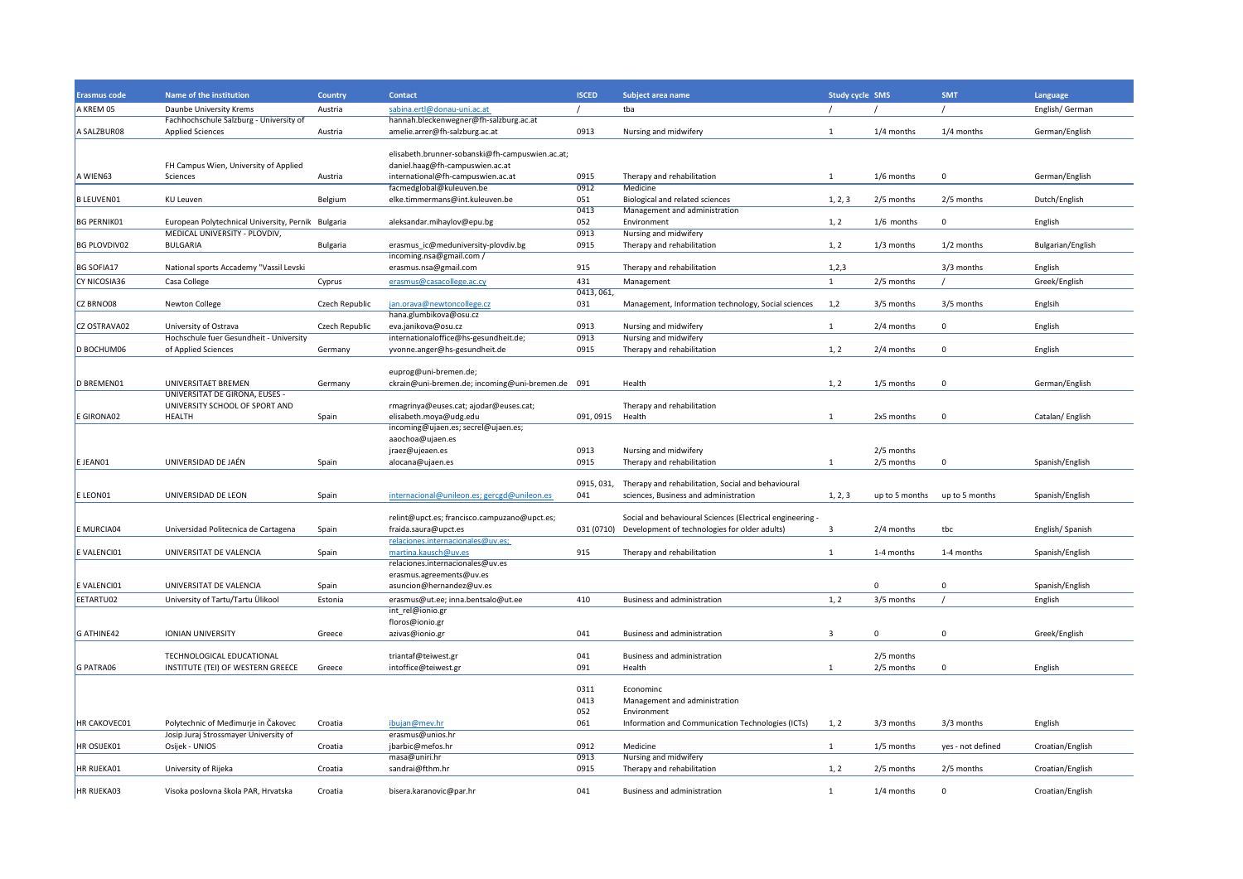| Erasmus code                                                                                     | Name of the institution                               | <b>Country</b>  | <b>Contact</b>                                                | <b>ISCED</b>     | Subject area name                                         | <b>Study cycle SMS</b>  |                | <b>SMT</b>        | Language          |
|--------------------------------------------------------------------------------------------------|-------------------------------------------------------|-----------------|---------------------------------------------------------------|------------------|-----------------------------------------------------------|-------------------------|----------------|-------------------|-------------------|
| A KREM 05                                                                                        | Daunbe University Krems                               | Austria         | sabina.ertl@donau-uni.ac.at                                   |                  | tba                                                       |                         |                |                   | English/ German   |
|                                                                                                  | Fachhochschule Salzburg - University of               |                 | hannah.bleckenwegner@fh-salzburg.ac.at                        |                  |                                                           |                         |                |                   |                   |
| A SALZBUR08                                                                                      | <b>Applied Sciences</b>                               | Austria         | amelie.arrer@fh-salzburg.ac.at                                | 0913             | Nursing and midwifery                                     | 1                       | $1/4$ months   | $1/4$ months      | German/English    |
|                                                                                                  |                                                       |                 | elisabeth.brunner-sobanski@fh-campuswien.ac.at;               |                  |                                                           |                         |                |                   |                   |
|                                                                                                  | FH Campus Wien, University of Applied                 |                 | daniel.haag@fh-campuswien.ac.at                               |                  |                                                           |                         |                |                   |                   |
| A WIEN63                                                                                         | <b>Sciences</b>                                       | Austria         | international@fh-campuswien.ac.at<br>facmedglobal@kuleuven.be | 0915             | Therapy and rehabilitation                                | 1                       | 1/6 months     | $\mathbf 0$       | German/English    |
|                                                                                                  |                                                       |                 |                                                               | 0912             | Medicine                                                  |                         |                |                   |                   |
| <b>B LEUVEN01</b>                                                                                | <b>KU Leuven</b>                                      | Belgium         | elke.timmermans@int.kuleuven.be                               | 051              | Biological and related sciences                           | 1, 2, 3                 | 2/5 months     | 2/5 months        | Dutch/English     |
|                                                                                                  |                                                       |                 |                                                               | 0413<br>052      | Management and administration                             |                         |                | $\Omega$          |                   |
| <b>BG PERNIK01</b>                                                                               | European Polytechnical University, Pernik Bulgaria    |                 | aleksandar.mihaylov@epu.bg                                    |                  | Environment                                               | 1, 2                    | $1/6$ months   |                   | English           |
| <b>BG PLOVDIV02</b>                                                                              | MEDICAL UNIVERSITY - PLOVDIV,<br><b>BULGARIA</b>      |                 |                                                               | 0913<br>0915     | Nursing and midwifery<br>Therapy and rehabilitation       | 1, 2                    | 1/3 months     | $1/2$ months      | Bulgarian/English |
|                                                                                                  |                                                       | <b>Bulgaria</b> | erasmus_ic@meduniversity-plovdiv.bg                           |                  |                                                           |                         |                |                   |                   |
| <b>BG SOFIA17</b>                                                                                | National sports Accademy "Vassil Levski               |                 | incoming.nsa@gmail.com /<br>erasmus.nsa@gmail.com             | 915              | Therapy and rehabilitation                                | 1,2,3                   |                | 3/3 months        | English           |
|                                                                                                  |                                                       |                 |                                                               |                  |                                                           |                         |                |                   |                   |
| <b>CY NICOSIA36</b>                                                                              | Casa College                                          | Cyprus          | erasmus@casacollege.ac.cy                                     | 431              | Management                                                | 1                       | 2/5 months     |                   | Greek/English     |
|                                                                                                  |                                                       |                 |                                                               | 0413, 061,       |                                                           |                         |                |                   |                   |
| CZ BRNO08                                                                                        | <b>Newton College</b>                                 | Czech Republic  | jan.orava@newtoncollege.cz                                    | 031              | Management, Information technology, Social sciences       | 1,2                     | 3/5 months     | 3/5 months        | Englsih           |
|                                                                                                  |                                                       |                 | hana.glumbikova@osu.cz                                        |                  |                                                           |                         |                |                   |                   |
| CZ OSTRAVA02                                                                                     | University of Ostrava                                 | Czech Republic  | eva.janikova@osu.cz                                           | 0913             | Nursing and midwifery                                     | 1                       | 2/4 months     | $\Omega$          | English           |
|                                                                                                  | Hochschule fuer Gesundheit - University               |                 | internationaloffice@hs-gesundheit.de;                         | 0913             | Nursing and midwifery                                     |                         |                |                   |                   |
| D BOCHUM06                                                                                       | of Applied Sciences                                   | Germany         | yvonne.anger@hs-gesundheit.de                                 | 0915             | Therapy and rehabilitation                                | 1, 2                    | 2/4 months     | 0                 | English           |
|                                                                                                  |                                                       |                 |                                                               |                  |                                                           |                         |                |                   |                   |
|                                                                                                  |                                                       |                 | euprog@uni-bremen.de;                                         |                  |                                                           |                         |                |                   |                   |
| D BREMEN01                                                                                       | UNIVERSITAET BREMEN<br>UNIVERSITAT DE GIRONA, EUSES - | Germany         | ckrain@uni-bremen.de; incoming@uni-bremen.de 091              |                  | Health                                                    | 1, 2                    | 1/5 months     | $\Omega$          | German/English    |
|                                                                                                  |                                                       |                 |                                                               |                  |                                                           |                         |                |                   |                   |
|                                                                                                  | UNIVERSITY SCHOOL OF SPORT AND                        |                 | rmagrinya@euses.cat; ajodar@euses.cat;                        |                  | Therapy and rehabilitation                                |                         |                |                   |                   |
| E GIRONA02                                                                                       | <b>HEALTH</b>                                         | Spain           | elisabeth.moya@udg.edu                                        | 091, 0915 Health |                                                           | 1                       | 2x5 months     | $\mathbf 0$       | Catalan/English   |
|                                                                                                  |                                                       |                 | incoming@ujaen.es; secrel@ujaen.es;                           |                  |                                                           |                         |                |                   |                   |
|                                                                                                  |                                                       |                 | aaochoa@ujaen.es                                              |                  |                                                           |                         |                |                   |                   |
|                                                                                                  |                                                       |                 | jraez@ujeaen.es                                               | 0913             | Nursing and midwifery                                     |                         | 2/5 months     |                   |                   |
| E JEAN01                                                                                         | UNIVERSIDAD DE JAÉN                                   | Spain           | alocana@ujaen.es                                              | 0915             | Therapy and rehabilitation                                | 1                       | 2/5 months     | $\mathbf 0$       | Spanish/English   |
|                                                                                                  |                                                       |                 |                                                               |                  |                                                           |                         |                |                   |                   |
|                                                                                                  | UNIVERSIDAD DE LEON                                   |                 |                                                               | 0915, 031,       | Therapy and rehabilitation, Social and behavioural        |                         |                |                   |                   |
| E LEON01                                                                                         |                                                       | Spain           | internacional@unileon.es; gercgd@unileon.es                   | 041              | sciences, Business and administration                     | 1, 2, 3                 | up to 5 months | up to 5 months    | Spanish/English   |
|                                                                                                  |                                                       |                 |                                                               |                  |                                                           |                         |                |                   |                   |
|                                                                                                  |                                                       |                 | relint@upct.es; francisco.campuzano@upct.es;                  |                  | Social and behavioural Sciences (Electrical engineering - |                         |                |                   |                   |
| E MURCIA04                                                                                       | Universidad Politecnica de Cartagena                  | Spain           | fraida.saura@upct.es                                          |                  | 031 (0710) Development of technologies for older adults)  | $\overline{\mathbf{3}}$ | 2/4 months     | tbc               | English/Spanish   |
|                                                                                                  |                                                       |                 | relaciones.internacionales@uv.es;                             |                  |                                                           |                         |                |                   |                   |
| E VALENCI01                                                                                      | UNIVERSITAT DE VALENCIA                               | Spain           | martina.kausch@uv.es<br>relaciones.internacionales@uv.es      | 915              | Therapy and rehabilitation                                | 1                       | 1-4 months     | 1-4 months        | Spanish/English   |
|                                                                                                  |                                                       |                 |                                                               |                  |                                                           |                         |                |                   |                   |
|                                                                                                  |                                                       |                 | erasmus.agreements@uv.es                                      |                  |                                                           |                         |                |                   |                   |
| E VALENCI01                                                                                      | UNIVERSITAT DE VALENCIA                               | Spain           | asuncion@hernandez@uv.es                                      |                  |                                                           |                         | 0              | $\mathbf 0$       | Spanish/English   |
|                                                                                                  | University of Tartu/Tartu Ülikool                     | Estonia         | erasmus@ut.ee; inna.bentsalo@ut.ee                            | 410              | <b>Business and administration</b>                        | 1, 2                    | 3/5 months     |                   | English           |
|                                                                                                  |                                                       |                 |                                                               |                  |                                                           |                         |                |                   |                   |
|                                                                                                  |                                                       |                 | int_rel@ionio.gr                                              |                  |                                                           |                         |                |                   |                   |
|                                                                                                  |                                                       |                 | floros@ionio.gr                                               |                  |                                                           |                         |                |                   |                   |
|                                                                                                  | <b>IONIAN UNIVERSITY</b>                              | Greece          | azivas@ionio.gr                                               | 041              | <b>Business and administration</b>                        | 3                       | $\mathbf{0}$   | $\mathbf 0$       | Greek/English     |
|                                                                                                  |                                                       |                 |                                                               |                  |                                                           |                         |                |                   |                   |
|                                                                                                  | TECHNOLOGICAL EDUCATIONAL                             |                 | triantaf@teiwest.gr                                           | 041              | Business and administration                               |                         | 2/5 months     |                   |                   |
|                                                                                                  | INSTITUTE (TEI) OF WESTERN GREECE                     | Greece          | intoffice@teiwest.gr                                          | 091              | Health                                                    | 1                       | 2/5 months     | $\mathbf 0$       | English           |
|                                                                                                  |                                                       |                 |                                                               |                  |                                                           |                         |                |                   |                   |
|                                                                                                  |                                                       |                 |                                                               | 0311             | Econominc                                                 |                         |                |                   |                   |
|                                                                                                  |                                                       |                 |                                                               | 0413             | Management and administration                             |                         |                |                   |                   |
|                                                                                                  |                                                       |                 |                                                               | 052              | Environment                                               |                         |                |                   |                   |
|                                                                                                  | Polytechnic of Međimurje in Čakovec                   | Croatia         | ibujan@mev.hr                                                 | 061              | Information and Communication Technologies (ICTs)         | 1, 2                    | 3/3 months     | 3/3 months        | English           |
|                                                                                                  | Josip Juraj Strossmayer University of                 |                 | erasmus@unios.hr                                              |                  |                                                           |                         |                |                   |                   |
|                                                                                                  | Osijek - UNIOS                                        | Croatia         | jbarbic@mefos.hr                                              | 0912             | Medicine                                                  | 1                       | 1/5 months     | yes - not defined | Croatian/English  |
|                                                                                                  |                                                       |                 | masa@uniri.hr                                                 | 0913             | Nursing and midwifery                                     |                         |                |                   |                   |
|                                                                                                  | University of Rijeka                                  | Croatia         | sandrai@fthm.hr                                               | 0915             | Therapy and rehabilitation                                | 1, 2                    | 2/5 months     | 2/5 months        | Croatian/English  |
| EETARTU02<br>G ATHINE42<br>G PATRA06<br><b>HR CAKOVEC01</b><br><b>HR OSIJEK01</b><br>HR RIJEKA01 |                                                       |                 |                                                               | 041              |                                                           |                         |                |                   |                   |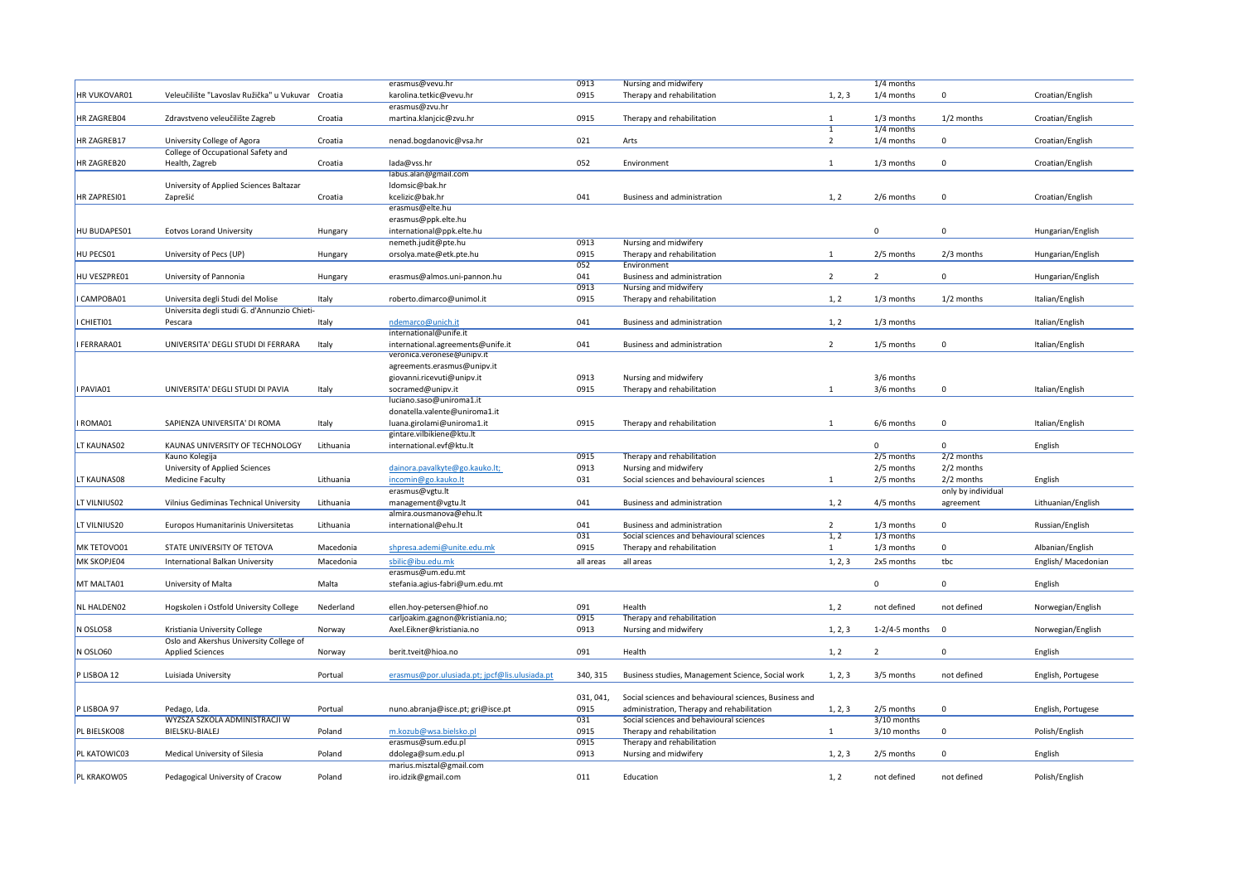|                     |                                                   |           |                                               |           | Nursing and midwifery                                  |                |                        |                    |                    |
|---------------------|---------------------------------------------------|-----------|-----------------------------------------------|-----------|--------------------------------------------------------|----------------|------------------------|--------------------|--------------------|
|                     |                                                   |           | erasmus@vevu.hr                               | 0913      |                                                        |                | $1/4$ months           |                    |                    |
| <b>HR VUKOVAR01</b> | Veleučilište "Lavoslav Ružička" u Vukuvar Croatia |           | karolina.tetkic@vevu.hr                       | 0915      | Therapy and rehabilitation                             | 1, 2, 3        | $1/4$ months           | 0                  | Croatian/English   |
|                     |                                                   |           | erasmus@zvu.hr                                |           |                                                        |                |                        |                    |                    |
| <b>HR ZAGREB04</b>  | Zdravstveno veleučilište Zagreb                   | Croatia   | martina.klanjcic@zvu.hr                       | 0915      | Therapy and rehabilitation                             | 1              | $1/3$ months           | $1/2$ months       | Croatian/English   |
|                     |                                                   |           |                                               |           |                                                        | $\mathbf{1}$   | $1/4$ months           |                    |                    |
| HR ZAGREB17         | University College of Agora                       | Croatia   | nenad.bogdanovic@vsa.hr                       | 021       | Arts                                                   | 2              | 1/4 months             | 0                  | Croatian/English   |
|                     | <b>College of Occupational Safety and</b>         |           |                                               |           |                                                        |                |                        |                    |                    |
| <b>HR ZAGREB20</b>  | Health, Zagreb                                    | Croatia   | lada@vss.hr                                   | 052       | Environment                                            | 1              | $1/3$ months           | $\Omega$           | Croatian/English   |
|                     |                                                   |           | labus.alan@gmail.com                          |           |                                                        |                |                        |                    |                    |
|                     | University of Applied Sciences Baltazar           |           | ldomsic@bak.hr                                |           |                                                        |                |                        |                    |                    |
| HR ZAPRESI01        | Zaprešić                                          | Croatia   | kcelizic@bak.hr                               | 041       | <b>Business and administration</b>                     | 1, 2           | 2/6 months             | 0                  | Croatian/English   |
|                     |                                                   |           | erasmus@elte.hu                               |           |                                                        |                |                        |                    |                    |
|                     |                                                   |           | erasmus@ppk.elte.hu                           |           |                                                        |                |                        |                    |                    |
| HU BUDAPES01        | <b>Eotvos Lorand University</b>                   | Hungary   | international@ppk.elte.hu                     |           |                                                        |                | $\overline{0}$         | $\mathbf 0$        | Hungarian/English  |
|                     |                                                   |           | nemeth.judit@pte.hu                           | 0913      | Nursing and midwifery                                  |                |                        |                    |                    |
| HU PECS01           | University of Pecs (UP)                           | Hungary   | orsolya.mate@etk.pte.hu                       | 0915      | Therapy and rehabilitation                             | $\mathbf{1}$   | 2/5 months             | $2/3$ months       | Hungarian/English  |
|                     |                                                   |           |                                               | 052       | Environment                                            |                |                        |                    |                    |
| HU VESZPRE01        | University of Pannonia                            | Hungary   | erasmus@almos.uni-pannon.hu                   | 041       | <b>Business and administration</b>                     | $\overline{2}$ | $\overline{2}$         | 0                  | Hungarian/English  |
|                     |                                                   |           |                                               | 0913      | Nursing and midwifery                                  |                |                        |                    |                    |
|                     |                                                   |           |                                               |           |                                                        |                |                        |                    |                    |
| I CAMPOBA01         | Universita degli Studi del Molise                 | Italy     | roberto.dimarco@unimol.it                     | 0915      | Therapy and rehabilitation                             | 1, 2           | $1/3$ months           | $1/2$ months       | Italian/English    |
|                     | Universita degli studi G. d'Annunzio Chieti-      |           |                                               |           |                                                        |                |                        |                    |                    |
| I CHIETIO1          | Pescara                                           | Italy     | ndemarco@unich.it                             | 041       | <b>Business and administration</b>                     | 1, 2           | $1/3$ months           |                    | Italian/English    |
|                     |                                                   |           | international@unife.it                        |           |                                                        |                |                        |                    |                    |
| I FERRARA01         | UNIVERSITA' DEGLI STUDI DI FERRARA                | Italy     | international.agreements@unife.it             | 041       | <b>Business and administration</b>                     | $\overline{2}$ | 1/5 months             | $\Omega$           | Italian/English    |
|                     |                                                   |           | veronica.veronese@unipv.it                    |           |                                                        |                |                        |                    |                    |
|                     |                                                   |           | agreements.erasmus@unipv.it                   |           |                                                        |                |                        |                    |                    |
|                     |                                                   |           | giovanni.ricevuti@unipv.it                    | 0913      | Nursing and midwifery                                  |                | 3/6 months             |                    |                    |
| I PAVIA01           | UNIVERSITA' DEGLI STUDI DI PAVIA                  | Italy     | socramed@unipv.it                             | 0915      | Therapy and rehabilitation                             | 1              | 3/6 months             | $\mathbf 0$        | Italian/English    |
|                     |                                                   |           | luciano.saso@uniroma1.it                      |           |                                                        |                |                        |                    |                    |
|                     |                                                   |           | donatella.valente@uniroma1.it                 |           |                                                        |                |                        |                    |                    |
| I ROMA01            | SAPIENZA UNIVERSITA' DI ROMA                      | Italy     | luana.girolami@uniroma1.it                    | 0915      | Therapy and rehabilitation                             | -1             | 6/6 months             | $\mathbf{0}$       | Italian/English    |
|                     |                                                   |           | gintare.vilbikiene@ktu.lt                     |           |                                                        |                |                        |                    |                    |
| LT KAUNAS02         | KAUNAS UNIVERSITY OF TECHNOLOGY                   | Lithuania | international.evf@ktu.lt                      |           |                                                        |                | $\overline{0}$         | $\Omega$           | English            |
|                     | Kauno Kolegija                                    |           |                                               | 0915      | Therapy and rehabilitation                             |                | 2/5 months             | $2/2$ months       |                    |
|                     | <b>University of Applied Sciences</b>             |           | dainora.pavalkyte@go.kauko.lt;                | 0913      | Nursing and midwifery                                  |                | 2/5 months             | 2/2 months         |                    |
| LT KAUNAS08         | <b>Medicine Faculty</b>                           | Lithuania | incomin@go.kauko.lt                           | 031       | Social sciences and behavioural sciences               | 1              | 2/5 months             | 2/2 months         | English            |
|                     |                                                   |           | erasmus@vgtu.lt                               |           |                                                        |                |                        | only by individual |                    |
| LT VILNIUS02        | Vilnius Gediminas Technical University            | Lithuania | management@vgtu.lt                            | 041       | Business and administration                            | 1, 2           | 4/5 months             | agreement          | Lithuanian/English |
|                     |                                                   |           | almira.ousmanova@ehu.lt                       |           |                                                        |                |                        |                    |                    |
|                     |                                                   |           | international@ehu.lt                          | 041       | <b>Business and administration</b>                     |                | 1/3 months             | $\mathbf 0$        |                    |
| LT VILNIUS20        | Europos Humanitarinis Universitetas               | Lithuania |                                               |           |                                                        | $\overline{2}$ |                        |                    | Russian/English    |
|                     |                                                   |           |                                               | 031       | Social sciences and behavioural sciences               | 1, 2           | 1/3 months             |                    |                    |
| MK TETOVO01         | STATE UNIVERSITY OF TETOVA                        | Macedonia | shpresa.ademi@unite.edu.mk                    | 0915      | Therapy and rehabilitation                             |                | 1/3 months             | $\mathbf 0$        | Albanian/English   |
| MK SKOPJE04         | International Balkan University                   | Macedonia | sbilic@ibu.edu.mk                             | all areas | all areas                                              | 1, 2, 3        | 2x5 months             | tbc                | English/Macedonian |
|                     |                                                   |           | erasmus@um.edu.mt                             |           |                                                        |                |                        |                    |                    |
| MT MALTA01          | University of Malta                               | Malta     | stefania.agius-fabri@um.edu.mt                |           |                                                        |                | $\mathbf 0$            | 0                  | English            |
|                     |                                                   |           |                                               |           |                                                        |                |                        |                    |                    |
| NL HALDEN02         | Hogskolen i Ostfold University College            | Nederland | ellen.hoy-petersen@hiof.no                    | 091       | Health                                                 | 1, 2           | not defined            | not defined        | Norwegian/English  |
|                     |                                                   |           | carljoakim.gagnon@kristiania.no;              | 0915      | Therapy and rehabilitation                             |                |                        |                    |                    |
| N OSLO58            | Kristiania University College                     | Norway    | Axel.Eikner@kristiania.no                     | 0913      | Nursing and midwifery                                  | 1, 2, 3        | $1 - 2/4 - 5$ months 0 |                    | Norwegian/English  |
|                     | Oslo and Akershus University College of           |           |                                               |           |                                                        |                |                        |                    |                    |
| N OSLO60            | <b>Applied Sciences</b>                           | Norway    | berit.tveit@hioa.no                           | 091       | Health                                                 | 1, 2           | $\overline{2}$         | 0                  | English            |
|                     |                                                   |           |                                               |           |                                                        |                |                        |                    |                    |
| P LISBOA 12         | Luisiada University                               | Portual   | erasmus@por.ulusiada.pt; jpcf@lis.ulusiada.pt | 340, 315  | Business studies, Management Science, Social work      | 1, 2, 3        | 3/5 months             | not defined        | English, Portugese |
|                     |                                                   |           |                                               |           |                                                        |                |                        |                    |                    |
|                     |                                                   |           |                                               |           | Social sciences and behavioural sciences, Business and |                |                        |                    |                    |
|                     |                                                   |           |                                               | 031, 041, |                                                        |                |                        |                    |                    |
| P LISBOA 97         | Pedago, Lda.                                      | Portual   | nuno.abranja@isce.pt; gri@isce.pt             | 0915      | administration, Therapy and rehabilitation             | 1, 2, 3        | 2/5 months             | $\mathbf 0$        | English, Portugese |
|                     | WYZSZA SZKOLA ADMINISTRACJI W                     |           |                                               | 031       | Social sciences and behavioural sciences               |                | 3/10 months            |                    |                    |
| PL BIELSKO08        | BIELSKU-BIALEJ                                    | Poland    | m.kozub@wsa.bielsko.pl                        | 0915      | Therapy and rehabilitation                             | 1              | 3/10 months            | 0                  | Polish/English     |
|                     |                                                   |           | erasmus@sum.edu.pl                            | 0915      | Therapy and rehabilitation                             |                |                        |                    |                    |
| PL KATOWIC03        | Medical University of Silesia                     | Poland    | ddolega@sum.edu.pl                            | 0913      | Nursing and midwifery                                  | 1, 2, 3        | 2/5 months             | $\Omega$           | English            |
|                     |                                                   |           | marius.misztal@gmail.com                      |           |                                                        |                |                        |                    |                    |
| PL KRAKOW05         | Pedagogical University of Cracow                  | Poland    | iro.idzik@gmail.com                           | 011       | Education                                              | 1, 2           | not defined            | not defined        | Polish/English     |